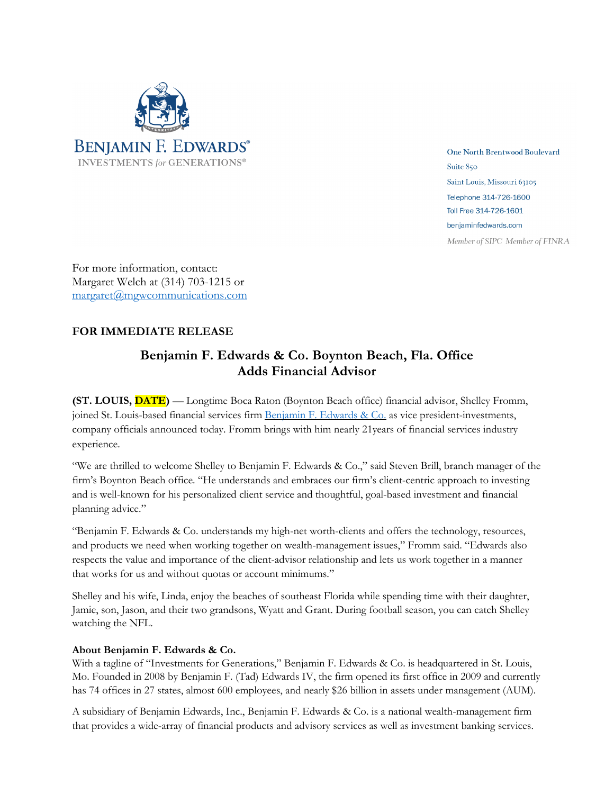

One North Brentwood Boulevard Suite 850 Saint Louis, Missouri 63105 Telephone 314-726-1600 Toll Free 314-726-1601 benjaminfedwards.com Member of SIPC Member of FINRA

For more information, contact: Margaret Welch at (314) 703-1215 or margaret@mgwcommunications.com

## **FOR IMMEDIATE RELEASE**

## **Benjamin F. Edwards & Co. Boynton Beach, Fla. Office Adds Financial Advisor**

**(ST. LOUIS, DATE)** — Longtime Boca Raton (Boynton Beach office) financial advisor, Shelley Fromm, joined St. Louis-based financial services firm Benjamin F. Edwards & Co. as vice president-investments, company officials announced today. Fromm brings with him nearly 21years of financial services industry experience.

"We are thrilled to welcome Shelley to Benjamin F. Edwards & Co.," said Steven Brill, branch manager of the firm's Boynton Beach office. "He understands and embraces our firm's client-centric approach to investing and is well-known for his personalized client service and thoughtful, goal-based investment and financial planning advice."

"Benjamin F. Edwards & Co. understands my high-net worth-clients and offers the technology, resources, and products we need when working together on wealth-management issues," Fromm said. "Edwards also respects the value and importance of the client-advisor relationship and lets us work together in a manner that works for us and without quotas or account minimums."

Shelley and his wife, Linda, enjoy the beaches of southeast Florida while spending time with their daughter, Jamie, son, Jason, and their two grandsons, Wyatt and Grant. During football season, you can catch Shelley watching the NFL.

## **About Benjamin F. Edwards & Co.**

With a tagline of "Investments for Generations," Benjamin F. Edwards & Co. is headquartered in St. Louis, Mo. Founded in 2008 by Benjamin F. (Tad) Edwards IV, the firm opened its first office in 2009 and currently has 74 offices in 27 states, almost 600 employees, and nearly \$26 billion in assets under management (AUM).

A subsidiary of Benjamin Edwards, Inc., Benjamin F. Edwards & Co. is a national wealth-management firm that provides a wide-array of financial products and advisory services as well as investment banking services.